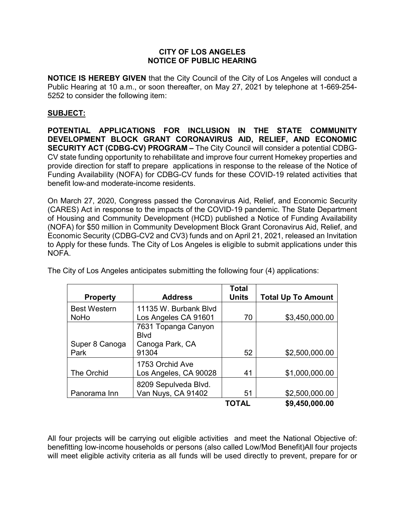## **CITY OF LOS ANGELES NOTICE OF PUBLIC HEARING**

**NOTICE IS HEREBY GIVEN** that the City Council of the City of Los Angeles will conduct a Public Hearing at 10 a.m., or soon thereafter, on May 27, 2021 by telephone at 1-669-254- 5252 to consider the following item:

## **SUBJECT:**

**POTENTIAL APPLICATIONS FOR INCLUSION IN THE STATE COMMUNITY DEVELOPMENT BLOCK GRANT CORONAVIRUS AID, RELIEF, AND ECONOMIC SECURITY ACT (CDBG-CV) PROGRAM –** The City Council will consider a potential CDBG-CV state funding opportunity to rehabilitate and improve four current Homekey properties and provide direction for staff to prepare applications in response to the release of the Notice of Funding Availability (NOFA) for CDBG-CV funds for these COVID-19 related activities that benefit low-and moderate-income residents.

On March 27, 2020, Congress passed the Coronavirus Aid, Relief, and Economic Security (CARES) Act in response to the impacts of the COVID-19 pandemic. The State Department of Housing and Community Development (HCD) published a Notice of Funding Availability (NOFA) for \$50 million in Community Development Block Grant Coronavirus Aid, Relief, and Economic Security (CDBG-CV2 and CV3) funds and on April 21, 2021, released an Invitation to Apply for these funds. The City of Los Angeles is eligible to submit applications under this NOFA.

|                     |                       | <b>Total</b> |                           |
|---------------------|-----------------------|--------------|---------------------------|
| <b>Property</b>     | <b>Address</b>        | <b>Units</b> | <b>Total Up To Amount</b> |
| <b>Best Western</b> | 11135 W. Burbank Blvd |              |                           |
| <b>NoHo</b>         | Los Angeles CA 91601  | 70           | \$3,450,000.00            |
|                     | 7631 Topanga Canyon   |              |                           |
|                     | <b>B</b> lvd          |              |                           |
| Super 8 Canoga      | Canoga Park, CA       |              |                           |
| Park                | 91304                 | 52           | \$2,500,000.00            |
|                     | 1753 Orchid Ave       |              |                           |
| The Orchid          | Los Angeles, CA 90028 | 41           | \$1,000,000.00            |
|                     | 8209 Sepulveda Blvd.  |              |                           |
| Panorama Inn        | Van Nuys, CA 91402    | 51           | \$2,500,000.00            |
|                     |                       | TOTAL        | \$9,450,000.00            |

The City of Los Angeles anticipates submitting the following four (4) applications:

All four projects will be carrying out eligible activities and meet the National Objective of: benefitting low-income households or persons (also called Low/Mod Benefit)All four projects will meet eligible activity criteria as all funds will be used directly to prevent, prepare for or